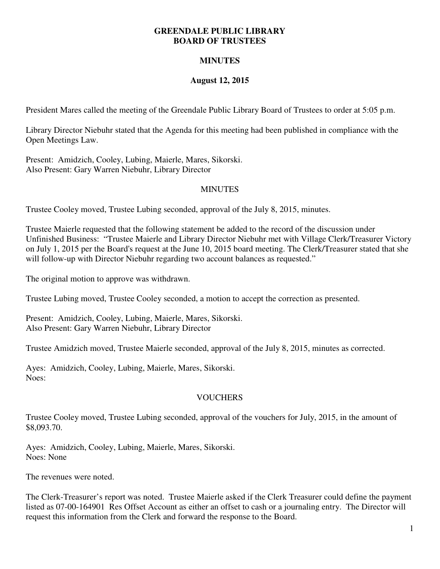#### **GREENDALE PUBLIC LIBRARY BOARD OF TRUSTEES**

# **MINUTES**

## **August 12, 2015**

President Mares called the meeting of the Greendale Public Library Board of Trustees to order at 5:05 p.m.

Library Director Niebuhr stated that the Agenda for this meeting had been published in compliance with the Open Meetings Law.

Present: Amidzich, Cooley, Lubing, Maierle, Mares, Sikorski. Also Present: Gary Warren Niebuhr, Library Director

## MINUTES

Trustee Cooley moved, Trustee Lubing seconded, approval of the July 8, 2015, minutes.

Trustee Maierle requested that the following statement be added to the record of the discussion under Unfinished Business: "Trustee Maierle and Library Director Niebuhr met with Village Clerk/Treasurer Victory on July 1, 2015 per the Board's request at the June 10, 2015 board meeting. The Clerk/Treasurer stated that she will follow-up with Director Niebuhr regarding two account balances as requested."

The original motion to approve was withdrawn.

Trustee Lubing moved, Trustee Cooley seconded, a motion to accept the correction as presented.

Present: Amidzich, Cooley, Lubing, Maierle, Mares, Sikorski. Also Present: Gary Warren Niebuhr, Library Director

Trustee Amidzich moved, Trustee Maierle seconded, approval of the July 8, 2015, minutes as corrected.

Ayes: Amidzich, Cooley, Lubing, Maierle, Mares, Sikorski. Noes:

## **VOUCHERS**

Trustee Cooley moved, Trustee Lubing seconded, approval of the vouchers for July, 2015, in the amount of \$8,093.70.

Ayes: Amidzich, Cooley, Lubing, Maierle, Mares, Sikorski. Noes: None

The revenues were noted.

The Clerk-Treasurer's report was noted. Trustee Maierle asked if the Clerk Treasurer could define the payment listed as 07-00-164901 Res Offset Account as either an offset to cash or a journaling entry. The Director will request this information from the Clerk and forward the response to the Board.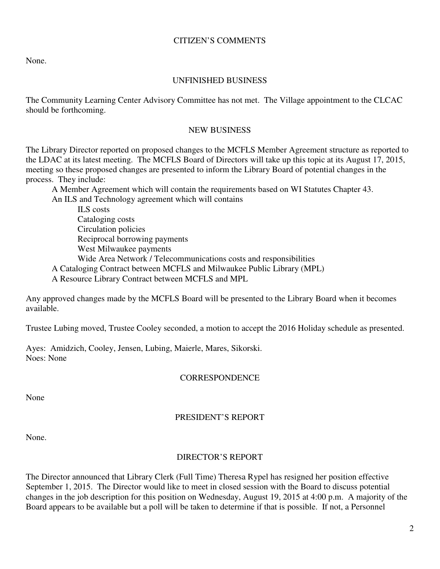### CITIZEN'S COMMENTS

None.

### UNFINISHED BUSINESS

The Community Learning Center Advisory Committee has not met. The Village appointment to the CLCAC should be forthcoming.

#### NEW BUSINESS

The Library Director reported on proposed changes to the MCFLS Member Agreement structure as reported to the LDAC at its latest meeting. The MCFLS Board of Directors will take up this topic at its August 17, 2015, meeting so these proposed changes are presented to inform the Library Board of potential changes in the process. They include:

A Member Agreement which will contain the requirements based on WI Statutes Chapter 43.

An ILS and Technology agreement which will contains

 ILS costs Cataloging costs Circulation policies Reciprocal borrowing payments West Milwaukee payments Wide Area Network / Telecommunications costs and responsibilities A Cataloging Contract between MCFLS and Milwaukee Public Library (MPL)

A Resource Library Contract between MCFLS and MPL

Any approved changes made by the MCFLS Board will be presented to the Library Board when it becomes available.

Trustee Lubing moved, Trustee Cooley seconded, a motion to accept the 2016 Holiday schedule as presented.

Ayes: Amidzich, Cooley, Jensen, Lubing, Maierle, Mares, Sikorski. Noes: None

## **CORRESPONDENCE**

None

## PRESIDENT'S REPORT

None.

## DIRECTOR'S REPORT

The Director announced that Library Clerk (Full Time) Theresa Rypel has resigned her position effective September 1, 2015. The Director would like to meet in closed session with the Board to discuss potential changes in the job description for this position on Wednesday, August 19, 2015 at 4:00 p.m. A majority of the Board appears to be available but a poll will be taken to determine if that is possible. If not, a Personnel